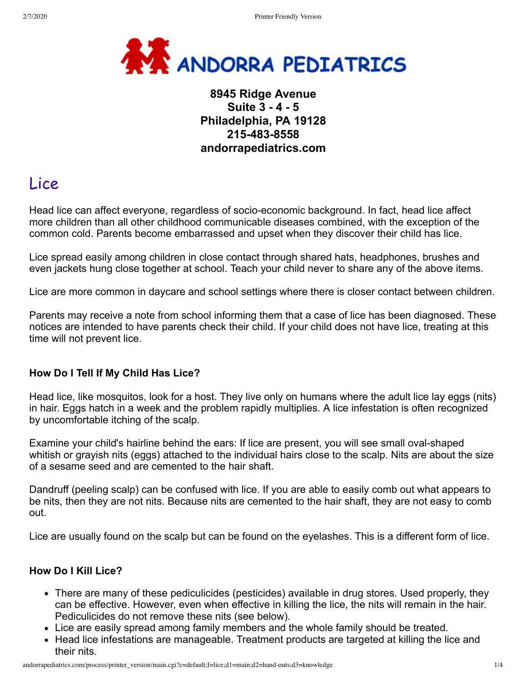

# **8945 Ridge Avenue Suite 3 - 4 - 5 Philadelphia, PA 19128 215-483-8558 andorrapediatrics.com**

# Lice

Head lice can affect everyone, regardless of socio-economic background. In fact, head lice affect more children than all other childhood communicable diseases combined, with the exception of the common cold. Parents become embarrassed and upset when they discover their child has lice.

Lice spread easily among children in close contact through shared hats, headphones, brushes and even jackets hung close together at school. Teach your child never to share any of the above items.

Lice are more common in daycare and school settings where there is closer contact between children.

Parents may receive a note from school informing them that a case of lice has been diagnosed. These notices are intended to have parents check their child. If your child does not have lice, treating at this time will not prevent lice.

## **How Do I Tell If My Child Has Lice?**

Head lice, like mosquitos, look for a host. They live only on humans where the adult lice lay eggs (nits) in hair. Eggs hatch in a week and the problem rapidly multiplies. A lice infestation is often recognized by uncomfortable itching of the scalp.

Examine your child's hairline behind the ears: If lice are present, you will see small oval-shaped whitish or grayish nits (eggs) attached to the individual hairs close to the scalp. Nits are about the size of a sesame seed and are cemented to the hair shaft.

Dandruff (peeling scalp) can be confused with lice. If you are able to easily comb out what appears to be nits, then they are not nits. Because nits are cemented to the hair shaft, they are not easy to comb out.

Lice are usually found on the scalp but can be found on the eyelashes. This is a different form of lice.

## **How Do I Kill Lice?**

- There are many of these pediculicides (pesticides) available in drug stores. Used properly, they can be effective. However, even when effective in killing the lice, the nits will remain in the hair. Pediculicides do not remove these nits (see below).
- Lice are easily spread among family members and the whole family should be treated.
- Head lice infestations are manageable. Treatment products are targeted at killing the lice and their nits.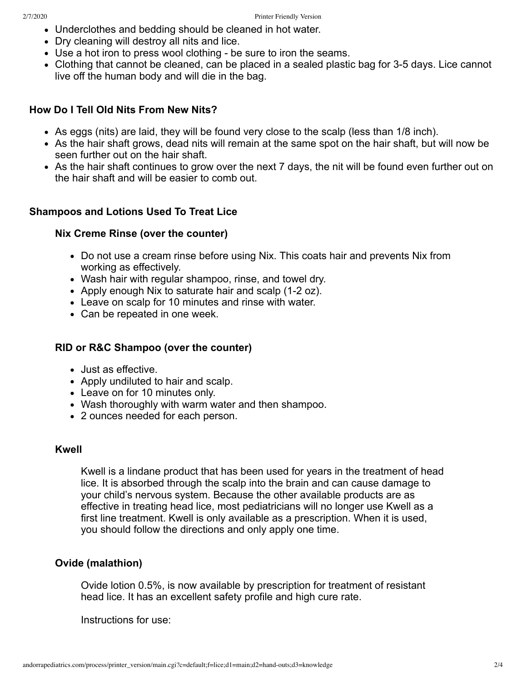- Underclothes and bedding should be cleaned in hot water.
- Dry cleaning will destroy all nits and lice.
- Use a hot iron to press wool clothing be sure to iron the seams.
- Clothing that cannot be cleaned, can be placed in a sealed plastic bag for 3-5 days. Lice cannot live off the human body and will die in the bag.

### **How Do I Tell Old Nits From New Nits?**

- As eggs (nits) are laid, they will be found very close to the scalp (less than 1/8 inch).
- As the hair shaft grows, dead nits will remain at the same spot on the hair shaft, but will now be seen further out on the hair shaft.
- As the hair shaft continues to grow over the next 7 days, the nit will be found even further out on the hair shaft and will be easier to comb out.

## **Shampoos and Lotions Used To Treat Lice**

#### **Nix Creme Rinse (over the counter)**

- Do not use a cream rinse before using Nix. This coats hair and prevents Nix from working as effectively.
- Wash hair with regular shampoo, rinse, and towel dry.
- Apply enough Nix to saturate hair and scalp (1-2 oz).
- Leave on scalp for 10 minutes and rinse with water.
- Can be repeated in one week.

#### **RID or R&C Shampoo (over the counter)**

- Just as effective.
- Apply undiluted to hair and scalp.
- Leave on for 10 minutes only.
- Wash thoroughly with warm water and then shampoo.
- 2 ounces needed for each person.

#### **Kwell**

Kwell is a lindane product that has been used for years in the treatment of head lice. It is absorbed through the scalp into the brain and can cause damage to your child's nervous system. Because the other available products are as effective in treating head lice, most pediatricians will no longer use Kwell as a first line treatment. Kwell is only available as a prescription. When it is used, you should follow the directions and only apply one time.

#### **Ovide (malathion)**

Ovide lotion 0.5%, is now available by prescription for treatment of resistant head lice. It has an excellent safety profile and high cure rate.

Instructions for use: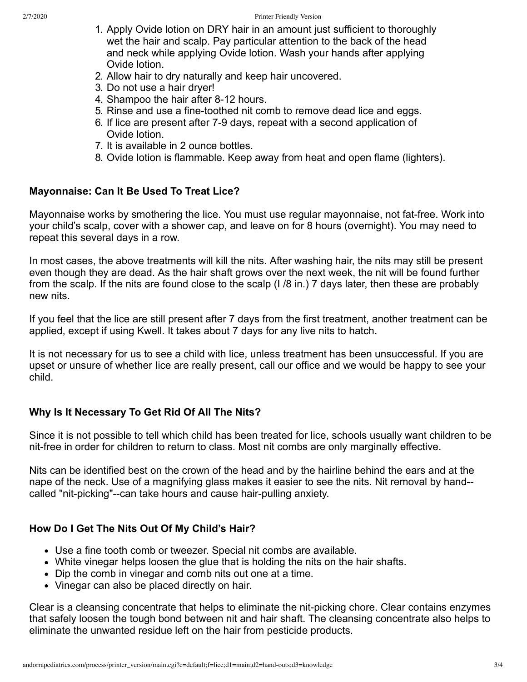- 1. Apply Ovide lotion on DRY hair in an amount just sufficient to thoroughly wet the hair and scalp. Pay particular attention to the back of the head and neck while applying Ovide lotion. Wash your hands after applying Ovide lotion.
- 2. Allow hair to dry naturally and keep hair uncovered.
- 3. Do not use a hair dryer!
- 4. Shampoo the hair after 8-12 hours.
- 5. Rinse and use a fine-toothed nit comb to remove dead lice and eggs.
- 6. If lice are present after 7-9 days, repeat with a second application of Ovide lotion.
- 7. It is available in 2 ounce bottles.
- 8. Ovide lotion is flammable. Keep away from heat and open flame (lighters).

#### **Mayonnaise: Can It Be Used To Treat Lice?**

Mayonnaise works by smothering the lice. You must use regular mayonnaise, not fat-free. Work into your child's scalp, cover with a shower cap, and leave on for 8 hours (overnight). You may need to repeat this several days in a row.

In most cases, the above treatments will kill the nits. After washing hair, the nits may still be present even though they are dead. As the hair shaft grows over the next week, the nit will be found further from the scalp. If the nits are found close to the scalp (I /8 in.) 7 days later, then these are probably new nits.

If you feel that the lice are still present after 7 days from the first treatment, another treatment can be applied, except if using Kwell. It takes about 7 days for any live nits to hatch.

It is not necessary for us to see a child with lice, unless treatment has been unsuccessful. If you are upset or unsure of whether Iice are really present, call our office and we would be happy to see your child.

#### **Why Is It Necessary To Get Rid Of All The Nits?**

Since it is not possible to tell which child has been treated for lice, schools usually want children to be nit-free in order for children to return to class. Most nit combs are only marginally effective.

Nits can be identified best on the crown of the head and by the hairline behind the ears and at the nape of the neck. Use of a magnifying glass makes it easier to see the nits. Nit removal by hand- called "nit-picking"--can take hours and cause hair-pulling anxiety.

#### **How Do I Get The Nits Out Of My Child's Hair?**

- Use a fine tooth comb or tweezer. Special nit combs are available.
- White vinegar helps loosen the glue that is holding the nits on the hair shafts.
- Dip the comb in vinegar and comb nits out one at a time.
- Vinegar can also be placed directly on hair.

Clear is a cleansing concentrate that helps to eliminate the nit-picking chore. Clear contains enzymes that safely loosen the tough bond between nit and hair shaft. The cleansing concentrate also helps to eliminate the unwanted residue left on the hair from pesticide products.